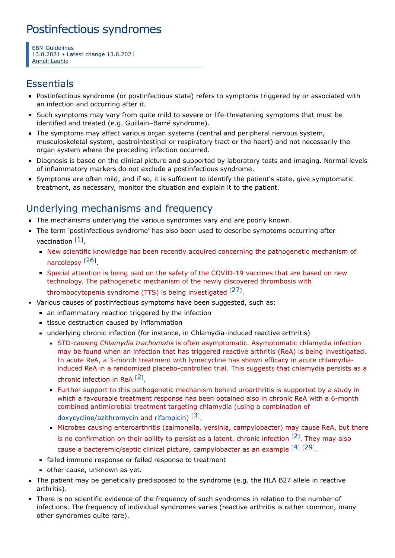# Postinfectious syndromes

EBM Guidelines 13.8.2021 • Latest change 13.8.2021 Anneli [Lauhio](https://www.ebm-guidelines.com/dtk/ebmg/toimija?p_id=mg4m)

## **Essentials**

- Postinfectious syndrome (or postinfectious state) refers to symptoms triggered by or associated with an infection and occurring after it.
- Such symptoms may vary from quite mild to severe or life-threatening symptoms that must be identified and treated (e.g. Guillain–Barré syndrome).
- The symptoms may affect various organ systems (central and peripheral nervous system, musculoskeletal system, gastrointestinal or respiratory tract or the heart) and not necessarily the organ system where the preceding infection occurred.
- Diagnosis is based on the clinical picture and supported by laboratory tests and imaging. Normal levels of inflammatory markers do not exclude a postinfectious syndrome.
- Symptoms are often mild, and if so, it is sufficient to identify the patient's state, give symptomatic treatment, as necessary, monitor the situation and explain it to the patient.

## Underlying mechanisms and frequency

- The mechanisms underlying the various syndromes vary and are poorly known.
- The term 'postinfectious syndrome' has also been used to describe symptoms occurring after vaccination [[1](#page-3-0)].
	- New scientific knowledge has been recently acquired concerning the pathogenetic mechanism of narcolepsy<sup>[[26](#page-3-1)]</sup>.
	- Special attention is being paid on the safety of the COVID-19 vaccines that are based on new technology. The pathogenetic mechanism of the newly discovered thrombosis with thrombocytopenia syndrome (TTS) is being investigated  $^{[27]}$  $^{[27]}$  $^{[27]}$ .
- Various causes of postinfectious symptoms have been suggested, such as:
	- an inflammatory reaction triggered by the infection
	- tissue destruction caused by inflammation
	- underlying chronic infection (for instance, in Chlamydia-induced reactive arthritis)
		- STD-causing Chlamydia trachomatis is often asymptomatic. Asymptomatic chlamydia infection may be found when an infection that has triggered reactive arthritis (ReA) is being investigated. In acute ReA, a 3-month treatment with lymecycline has shown efficacy in acute chlamydiainduced ReA in a randomized placebo-controlled trial. This suggests that chlamydia persists as a chronic infection in ReA  $[2]$  $[2]$  $[2]$ .
		- Further support to this pathogenetic mechanism behind uroarthritis is supported by a study in which a favourable treatment response has been obtained also in chronic ReA with a 6-month combined antimicrobial treatment targeting chlamydia (using a combination of [doxycycline](https://www.terveysportti.fi/apps/laake/laakeryhma/J01AA02)/[azithromycin](https://www.terveysportti.fi/apps/laake/laakeryhma/J01FA10) and [rifampicin](https://www.terveysportti.fi/apps/laake/laakeryhma/J04AB02)) [[3](#page-3-4)].
		- Microbes causing enteroarthritis (salmonella, yersinia, campylobacter) may cause ReA, but there is no confirmation on their ability to persist as a latent, chronic infection  $[2]$  $[2]$  $[2]$ . They may also cause a bacteremic/septic clinical picture, campylobacter as an example  $^{[4]}$  $^{[4]}$  $^{[4]}$   $^{[29]}$  $^{[29]}$  $^{[29]}$ .
	- failed immune response or failed response to treatment
	- other cause, unknown as yet.
- The patient may be genetically predisposed to the syndrome (e.g. the HLA B27 allele in reactive arthritis).
- There is no scientific evidence of the frequency of such syndromes in relation to the number of infections. The frequency of individual syndromes varies (reactive arthritis is rather common, many other syndromes quite rare).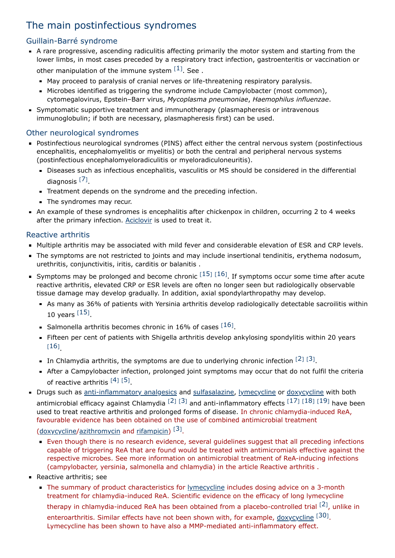## The main postinfectious syndromes

## Guillain-Barré syndrome

- A rare progressive, ascending radiculitis affecting primarily the motor system and starting from the lower limbs, in most cases preceded by a respiratory tract infection, gastroenteritis or vaccination or other manipulation of the immune system  $[1]$  $[1]$  $[1]$ . See.
	- May proceed to paralysis of cranial nerves or life-threatening respiratory paralysis.
	- Microbes identified as triggering the syndrome include Campylobacter (most common), cytomegalovirus, Epstein–Barr virus, Mycoplasma pneumoniae, Haemophilus influenzae.
- **Symptomatic supportive treatment and immunotherapy (plasmapheresis or intravenous** immunoglobulin; if both are necessary, plasmapheresis first) can be used.

## Other neurological syndromes

- Postinfectious neurological syndromes (PINS) affect either the central nervous system (postinfectious encephalitis, encephalomyelitis or myelitis) or both the central and peripheral nervous systems (postinfectious encephalomyeloradiculitis or myeloradiculoneuritis).
	- Diseases such as infectious encephalitis, vasculitis or MS should be considered in the differential diagnosis<sup>[[7](#page-3-6)]</sup>.
	- Treatment depends on the syndrome and the preceding infection.
	- The syndromes may recur.
- An example of these syndromes is encephalitis after chickenpox in children, occurring 2 to 4 weeks after the primary infection. [Aciclovir](https://www.terveysportti.fi/apps/laake/laakeryhma/J05AB01) is used to treat it.

## Reactive arthritis

- Multiple arthritis may be associated with mild fever and considerable elevation of ESR and CRP levels.
- The symptoms are not restricted to joints and may include insertional tendinitis, erythema nodosum, urethritis, conjunctivitis, iritis, carditis or balanitis .
- Symptoms may be prolonged and become chronic  $^{[15]}$  $^{[15]}$  $^{[15]}$   $^{[16]}$  $^{[16]}$  $^{[16]}$ . If symptoms occur some time after acute reactive arthritis, elevated CRP or ESR levels are often no longer seen but radiologically observable tissue damage may develop gradually. In addition, axial spondylarthropathy may develop.
	- As many as 36% of patients with Yersinia arthritis develop radiologically detectable sacroilitis within 10 years  $^{[15]}$  $^{[15]}$  $^{[15]}$ .
	- Salmonella arthritis becomes chronic in [16](#page-3-8)% of cases  $^{[16]}$ .
	- Fifteen per cent of patients with Shigella arthritis develop ankylosing spondylitis within 20 years [[16](#page-3-8)] .
	- In Chlamydia arthritis, the symptoms are due to underlying chronic infection  $^{[2]}$  $^{[2]}$  $^{[2]}$   $^{[3]}$  $^{[3]}$  $^{[3]}$ .
	- After a Campylobacter infection, prolonged joint symptoms may occur that do not fulfil the criteria of reactive arthritis  $^{[4]}$  $^{[4]}$  $^{[4]}$   $^{[5]}$  $^{[5]}$  $^{[5]}$ .
- Drugs such as [anti-inflammatory analgesics](https://www.terveysportti.fi/apps/laake/laakeryhma/M1A) and [sulfasalazine,](https://www.terveysportti.fi/apps/laake/laakeryhma/A07EC01) [lymecycline](https://www.terveysportti.fi/apps/laake/laakeryhma/J01AA04) or [doxycycline](https://www.terveysportti.fi/apps/laake/laakeryhma/J01AA02) with both antimicrobial efficacy against Chlamydia  $^{[2]}$  $^{[2]}$  $^{[2]}$   $^{[3]}$  $^{[3]}$  $^{[3]}$  and anti-inflammatory effects  $^{[17]}$  $^{[17]}$  $^{[17]}$   $^{[18]}$  $^{[18]}$  $^{[18]}$   $^{[19]}$  $^{[19]}$  $^{[19]}$  have been used to treat reactive arthritis and prolonged forms of disease. In chronic chlamydia-induced ReA, favourable evidence has been obtained on the use of combined antimicrobial treatment ([doxycycline](https://www.terveysportti.fi/apps/laake/laakeryhma/J01AA02)/[azithromycin](https://www.terveysportti.fi/apps/laake/laakeryhma/J01FA10) and [rifampicin](https://www.terveysportti.fi/apps/laake/laakeryhma/J04AB02))<sup>[[3](#page-3-4)]</sup>.
	- **Even though there is no research evidence, several guidelines suggest that all preceding infections** capable of triggering ReA that are found would be treated with antimicromials effective against the respective microbes. See more information on antimicrobial treatment of ReA-inducing infections (campylobacter, yersinia, salmonella and chlamydia) in the article Reactive arthritis .
- **Reactive arthritis; see** 
	- The summary of product characteristics for [lymecycline](https://www.terveysportti.fi/apps/laake/laakeryhma/J01AA04) includes dosing advice on a 3-month treatment for chlamydia-induced ReA. Scientific evidence on the efficacy of long lymecycline therapy in chlamydia-induced ReA has been obtained from a placebo-controlled trial <sup>[[2](#page-3-3)]</sup>, unlike in enteroarthritis. Similar effects have not been shown with, for example, [doxycycline](https://www.terveysportti.fi/apps/laake/laakeryhma/J01AA02) <sup>[[30](#page-4-1)]</sup>. Lymecycline has been shown to have also a MMP-mediated anti-inflammatory effect.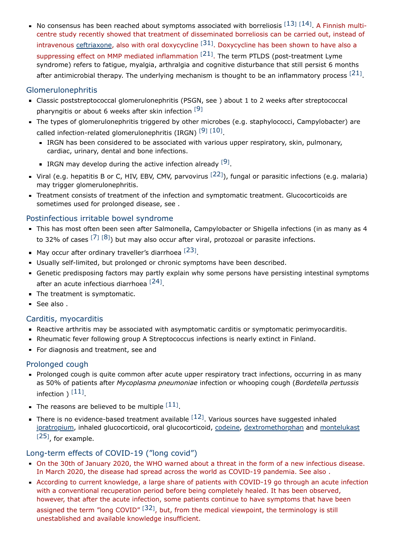No consensus has been reached about symptoms associated with borreliosis  $^{[13]}$  $^{[13]}$  $^{[13]}$   $^{[14]}$  $^{[14]}$  $^{[14]}$ . A Finnish multicentre study recently showed that treatment of disseminated borreliosis can be carried out, instead of intravenous **[ceftriaxone,](https://www.terveysportti.fi/apps/laake/laakeryhma/J01DD0454) also with oral doxycycline**  $^{[31]}$  $^{[31]}$  $^{[31]}$ . Doxycycline has been shown to have also a suppressing effect on MMP mediated inflammation  $^{[21]}$  $^{[21]}$  $^{[21]}$ . The term PTLDS (post-treatment Lyme syndrome) refers to fatigue, myalgia, arthralgia and cognitive disturbance that still persist 6 months after antimicrobial therapy. The underlying mechanism is thought to be an inflammatory process  $^{[21]}$  $^{[21]}$  $^{[21]}$ .

## Glomerulonephritis

- Classic poststreptococcal glomerulonephritis (PSGN, see ) about 1 to 2 weeks after streptococcal pharyngitis or about 6 weeks after skin infection  $^{[9]}$  $^{[9]}$  $^{[9]}$
- The types of glomerulonephritis triggered by other microbes (e.g. staphylococci, Campylobacter) are called infection-related glomerulonephritis (IRGN)  $[9]$  $[9]$  $[9]$   $[10]$  $[10]$  $[10]$ .
	- IRGN has been considered to be associated with various upper respiratory, skin, pulmonary, cardiac, urinary, dental and bone infections.
	- IRGN may develop during the active infection already  $[9]$  $[9]$  $[9]$ .
- Viral (e.g. hepatitis B or C, HIV, EBV, CMV, parvovirus <sup>[[22](#page-3-18)]</sup>), fungal or parasitic infections (e.g. malaria) may trigger glomerulonephritis.
- Treatment consists of treatment of the infection and symptomatic treatment. Glucocorticoids are sometimes used for prolonged disease, see .

## Postinfectious irritable bowel syndrome

- This has most often been seen after Salmonella, Campylobacter or Shigella infections (in as many as 4 to 32% of cases  $^{[7]}$  $^{[7]}$  $^{[7]}$   $^{[8]}$  $^{[8]}$  $^{[8]}$ ) but may also occur after viral, protozoal or parasite infections.
- May occur after ordinary traveller's diarrhoea  $^{[23]}$  $^{[23]}$  $^{[23]}$ .
- Usually self-limited, but prolonged or chronic symptoms have been described.
- Genetic predisposing factors may partly explain why some persons have persisting intestinal symptoms after an acute infectious diarrhoea [[24](#page-3-21)].
- The treatment is symptomatic.
- See also.

## Carditis, myocarditis

- Reactive arthritis may be associated with asymptomatic carditis or symptomatic perimyocarditis.
- Rheumatic fever following group A Streptococcus infections is nearly extinct in Finland.
- For diagnosis and treatment, see and

#### Prolonged cough

- **Prolonged cough is quite common after acute upper respiratory tract infections, occurring in as many** as 50% of patients after Mycoplasma pneumoniae infection or whooping cough (Bordetella pertussis infection )  $^{[11]}$  $^{[11]}$  $^{[11]}$ .
- The reasons are believed to be multiple  $^{[11]}$  $^{[11]}$  $^{[11]}$ .
- There is no evidence-based treatment available  $^{[12]}$  $^{[12]}$  $^{[12]}$ . Various sources have suggested inhaled [ipratropium,](https://www.terveysportti.fi/apps/laake/laakeryhma/R01AX03) inhaled glucocorticoid, oral glucocorticoid, [codeine](https://www.terveysportti.fi/apps/laake/laakeryhma/N02AA59), [dextromethorphan](https://www.terveysportti.fi/apps/laake/laakeryhma/R05DA09) and [montelukast](https://www.terveysportti.fi/apps/laake/laakeryhma/R03DC03)  $[25]$  $[25]$  $[25]$ , for example.

### Long-term effects of COVID-19 ("long covid")

- On the 30th of January 2020, the WHO warned about a threat in the form of a new infectious disease. In March 2020, the disease had spread across the world as COVID-19 pandemia. See also .
- According to current knowledge, a large share of patients with COVID-19 go through an acute infection with a conventional recuperation period before being completely healed. It has been observed, however, that after the acute infection, some patients continue to have symptoms that have been assigned the term "long COVID"  $^{[32]}$  $^{[32]}$  $^{[32]}$ , but, from the medical viewpoint, the terminology is still unestablished and available knowledge insufficient.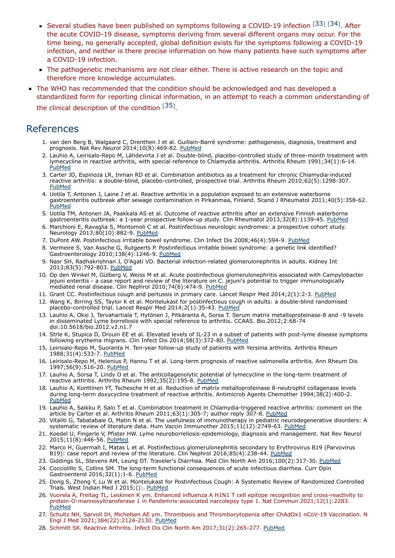- Several studies have been published on symptoms following a COVID-19 infection [[33](#page-4-4)] [[34](#page-4-5)]. After the acute COVID-19 disease, symptoms deriving from several different organs may occur. For the time being, no generally accepted, global definition exists for the symptoms following a COVID-19 infection, and neither is there precise information on how many patients have such symptoms after a COVID-19 infection.
- The pathogenetic mechanisms are not clear either. There is active research on the topic and therefore more knowledge accumulates.
- The WHO has recommended that the condition should be acknowledged and has developed a standardized form for reporting clinical information, in an attempt to reach a common understanding of the clinical description of the condition  $[35]$  $[35]$  $[35]$ .

## References

- <span id="page-3-0"></span>1. van den Berg B, Walgaard C, Drenthen J et al. Guillain-Barré syndrome: pathogenesis, diagnosis, treatment and prognosis. Nat Rev Neurol 2014;10(8):469-82. [PubMed](http://www.ncbi.nlm.nih.gov/pubmed/25023340)
- <span id="page-3-3"></span>2. Lauhio A, Leirisalo-Repo M, Lähdevirta J et al. Double-blind, placebo-controlled study of three-month treatment with lymecycline in reactive arthritis, with special reference to Chlamydia arthritis. Arthritis Rheum 1991;34(1):6-14. [PubMed](http://www.ncbi.nlm.nih.gov/pubmed/1670621)
- <span id="page-3-4"></span>3. Carter JD, Espinoza LR, Inman RD et al. Combination antibiotics as a treatment for chronic Chlamydia-induced reactive arthritis: a double-blind, placebo-controlled, prospective trial. Arthritis Rheum 2010;62(5):1298-307. [PubMed](http://www.ncbi.nlm.nih.gov/pubmed/20155838)
- <span id="page-3-5"></span>4. Uotila T, Antonen J, Laine J et al. Reactive arthritis in a population exposed to an extensive waterborne gastroenteritis outbreak after sewage contamination in Pirkanmaa, Finland. Scand J Rheumatol 2011;40(5):358-62. [PubMed](http://www.ncbi.nlm.nih.gov/pubmed/21679096)
- <span id="page-3-9"></span>5. Uotila TM, Antonen JA, Paakkala AS et al. Outcome of reactive arthritis after an extensive Finnish waterborne gastroenteritis outbreak: a 1-year prospective follow-up study. Clin Rheumatol 2013;32(8):1139-45. [PubMed](http://www.ncbi.nlm.nih.gov/pubmed/23559390)
- 6. Marchioni E, Ravaglia S, Montomoli C et al. Postinfectious neurologic syndromes: a prospective cohort study. Neurology 2013;80(10):882-9. [PubMed](http://www.ncbi.nlm.nih.gov/pubmed/23325908)
- <span id="page-3-6"></span>7. DuPont AW. Postinfectious irritable bowel syndrome. Clin Infect Dis 2008;46(4):594-9. [PubMed](http://www.ncbi.nlm.nih.gov/pubmed/18205536)
- <span id="page-3-19"></span>8. Vermeire S, Van Assche G, Rutgeerts P. Postinfectious irritable bowel syndrome: a genetic link identified? Gastroenterology 2010;138(4):1246-9. [PubMed](http://www.ncbi.nlm.nih.gov/pubmed/20188132)
- <span id="page-3-16"></span>9. Nasr SH, Radhakrishnan J, D'Agati VD. Bacterial infection-related glomerulonephritis in adults. Kidney Int 2013;83(5):792-803. [PubMed](http://www.ncbi.nlm.nih.gov/pubmed/23302723)
- <span id="page-3-17"></span>10. Op den Winkel M, Gülberg V, Weiss M et al. Acute postinfectious glomerulonephritis associated with Campylobacter jejuni enteritis - a case report and review of the literature on C. jejuni's potential to trigger immunologically mediated renal disease. Clin Nephrol 2010;74(6):474-9. [PubMed](http://www.ncbi.nlm.nih.gov/pubmed/21084052)
- <span id="page-3-22"></span>11. Grant CC. Postinfectious cough and pertussis in primary care. Lancet Respir Med 2014;2(1):2-3. [PubMed](http://www.ncbi.nlm.nih.gov/pubmed/24461880)
- <span id="page-3-23"></span>12. Wang K, Birring SS, Taylor K et al. Montelukast for postinfectious cough in adults: a double-blind randomised placebo-controlled trial. Lancet Respir Med 2014;2(1):35-43. [PubMed](http://www.ncbi.nlm.nih.gov/pubmed/24461900)
- <span id="page-3-13"></span>13. Lauhio A, Oksi J, Tervahartiala T, Hytönen J, Pitkäranta A, Sorsa T. Serum matrix metalloproteinase-8 and -9 levels in disseminated Lyme borreliosis with special reference to arthritis. CCAAS. Bio.2012;2:68-74 doi:10.5618/bio.2012.v2.n1.7
- <span id="page-3-14"></span>14. Strle K, Stupica D, Drouin EE et al. Elevated levels of IL-23 in a subset of patients with post-lyme disease symptoms following erythema migrans. Clin Infect Dis 2014;58(3):372-80. [PubMed](http://www.ncbi.nlm.nih.gov/pubmed/24218102)
- <span id="page-3-7"></span>15. Leirisalo-Repo M, Suoranta H. Ten-year follow-up study of patients with Yersinia arthritis. Arthritis Rheum 1988;31(4):533-7. [PubMed](http://www.ncbi.nlm.nih.gov/pubmed/2965876)
- <span id="page-3-8"></span>16. Leirisalo-Repo M, Helenius P, Hannu T et al. Long-term prognosis of reactive salmonella arthritis. Ann Rheum Dis 1997;56(9):516-20. [PubMed](http://www.ncbi.nlm.nih.gov/pubmed/9370874)
- <span id="page-3-10"></span>17. Lauhio A, Sorsa T, Lindy O et al. The anticollagenolytic potential of lymecycline in the long-term treatment of reactive arthritis. Arthritis Rheum 1992;35(2):195-8. [PubMed](http://www.ncbi.nlm.nih.gov/pubmed/1310409)
- <span id="page-3-11"></span>18. Lauhio A, Konttinen YT, Tschesche H et al. Reduction of matrix metalloproteinase 8-neutrophil collagenase levels during long-term doxycycline treatment of reactive arthritis. Antimicrob Agents Chemother 1994;38(2):400-2. [PubMed](http://www.ncbi.nlm.nih.gov/pubmed/8192476)
- <span id="page-3-12"></span>19. Lauhio A, Saikku P, Salo T et al. Combination treatment in Chlamydia-triggered reactive arthritis: comment on the article by Carter et al. Arthritis Rheum 2011;63(1):305-7; author reply 307-8. [PubMed](http://www.ncbi.nlm.nih.gov/pubmed/20936631)
- 20. Vitaliti G, Tabatabaie O, Matin N et al. The usefulness of immunotherapy in pediatric neurodegenerative disorders: A systematic review of literature data. Hum Vaccin Immunother 2015;11(12):2749-63. [PubMed](http://www.ncbi.nlm.nih.gov/pubmed/26266339)
- <span id="page-3-15"></span>21. Koedel U, Fingerle V, Pfister HW. Lyme neuroborreliosis-epidemiology, diagnosis and management. Nat Rev Neurol 2015;11(8):446-56. [PubMed](http://www.ncbi.nlm.nih.gov/pubmed/26215621)
- <span id="page-3-18"></span>22. Marco H, Guermah I, Matas L et al. Postinfectious glomerulonephritis secondary to Erythrovirus B19 (Parvovirus B19): case report and review of the literature. Clin Nephrol 2016;85(4):238-44. [PubMed](http://www.ncbi.nlm.nih.gov/pubmed/26833301)
- <span id="page-3-20"></span>23. Giddings SL, Stevens AM, Leung DT. Traveler's Diarrhea. Med Clin North Am 2016;100(2):317-30. [PubMed](http://www.ncbi.nlm.nih.gov/pubmed/26900116)
- <span id="page-3-21"></span>24. Cocciolillo S, Collins SM. The long-term functional consequences of acute infectious diarrhea. Curr Opin Gastroenterol 2016;32(1):1-6. [PubMed](http://www.ncbi.nlm.nih.gov/pubmed/26628101)
- <span id="page-3-24"></span>25. Dong S, Zhong Y, Lu W et al. Montelukast for Postinfectious Cough: A Systematic Review of Randomized Controlled Trials. West Indian Med J 2015;():. [PubMed](http://www.ncbi.nlm.nih.gov/pubmed/26681376)
- <span id="page-3-1"></span>26. Vuorela A, Freitag TL, Leskinen K ym. Enhanced influenza A H1N1 T cell epitope recognition and cross-reactivity to protein-O-mannosyltransferase 1 in Pandemrix-associated narcolepsy type 1. Nat Commun 2021;12(1):2283. [PubMed](http://www.ncbi.nlm.nih.gov/pubmed/33863907)
- <span id="page-3-2"></span>27. Schultz NH, Sørvoll IH, Michelsen AE ym. Thrombosis and Thrombocytopenia after ChAdOx1 nCoV-19 Vaccination. N Engl J Med 2021;384(22):2124-2130. [PubMed](http://www.ncbi.nlm.nih.gov/pubmed/33835768)
- 28. Schmitt SK. Reactive Arthritis. Infect Dis Clin North Am 2017;31(2):265-277. [PubMed](http://www.ncbi.nlm.nih.gov/pubmed/28292540)